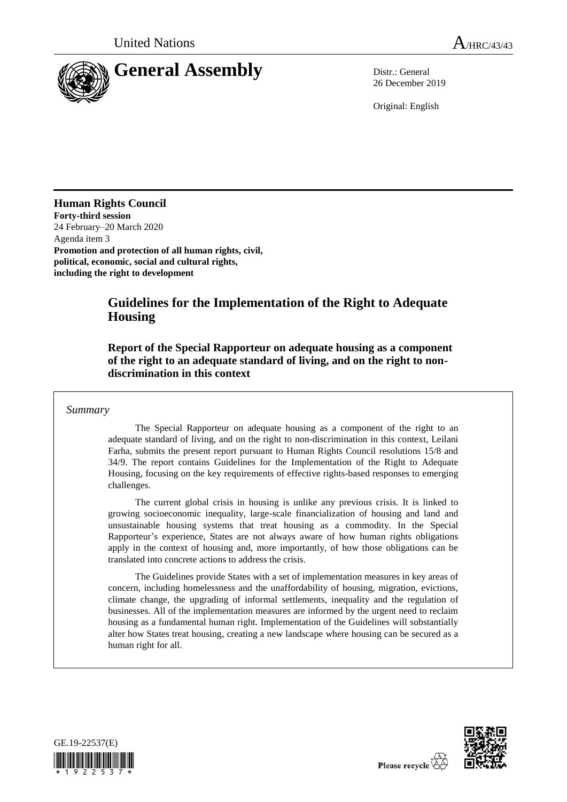

26 December 2019

Original: English

**Human Rights Council Forty-third session**  24 February–20 March 2020 Agenda item 3 **Promotion and protection of all human rights, civil, political, economic, social and cultural rights, including the right to development**

# **Guidelines for the Implementation of the Right to Adequate Housing**

**Report of the Special Rapporteur on adequate housing as a component of the right to an adequate standard of living, and on the right to nondiscrimination in this context**

#### *Summary*

The Special Rapporteur on adequate housing as a component of the right to an adequate standard of living, and on the right to non-discrimination in this context, Leilani Farha, submits the present report pursuant to Human Rights Council resolutions 15/8 and 34/9. The report contains Guidelines for the Implementation of the Right to Adequate Housing, focusing on the key requirements of effective rights-based responses to emerging challenges.

The current global crisis in housing is unlike any previous crisis. It is linked to growing socioeconomic inequality, large-scale financialization of housing and land and unsustainable housing systems that treat housing as a commodity. In the Special Rapporteur's experience, States are not always aware of how human rights obligations apply in the context of housing and, more importantly, of how those obligations can be translated into concrete actions to address the crisis.

The Guidelines provide States with a set of implementation measures in key areas of concern, including homelessness and the unaffordability of housing, migration, evictions, climate change, the upgrading of informal settlements, inequality and the regulation of businesses. All of the implementation measures are informed by the urgent need to reclaim housing as a fundamental human right. Implementation of the Guidelines will substantially alter how States treat housing, creating a new landscape where housing can be secured as a human right for all.



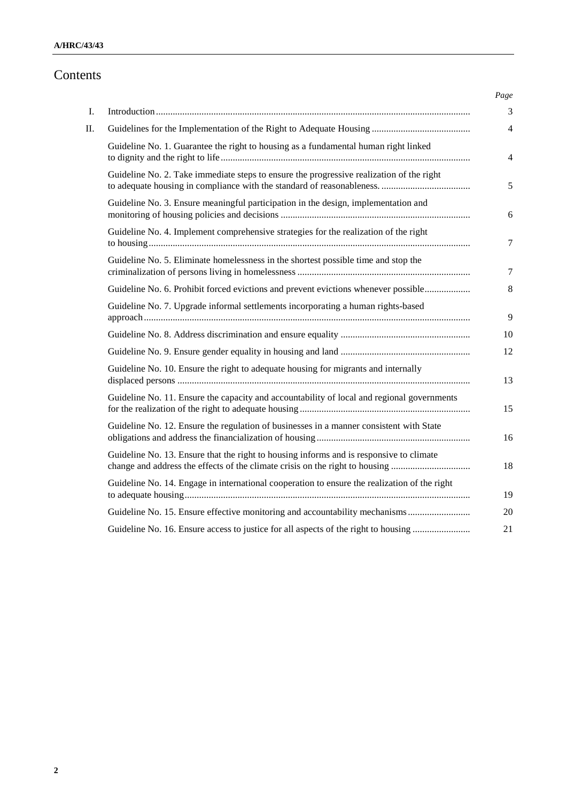# **A/HRC/43/43**

# Contents

| L  |                                                                                                                                                                         |
|----|-------------------------------------------------------------------------------------------------------------------------------------------------------------------------|
| П. |                                                                                                                                                                         |
|    | Guideline No. 1. Guarantee the right to housing as a fundamental human right linked                                                                                     |
|    | Guideline No. 2. Take immediate steps to ensure the progressive realization of the right                                                                                |
|    | Guideline No. 3. Ensure meaningful participation in the design, implementation and                                                                                      |
|    | Guideline No. 4. Implement comprehensive strategies for the realization of the right                                                                                    |
|    | Guideline No. 5. Eliminate homelessness in the shortest possible time and stop the                                                                                      |
|    | Guideline No. 6. Prohibit forced evictions and prevent evictions whenever possible                                                                                      |
|    | Guideline No. 7. Upgrade informal settlements incorporating a human rights-based                                                                                        |
|    |                                                                                                                                                                         |
|    |                                                                                                                                                                         |
|    | Guideline No. 10. Ensure the right to adequate housing for migrants and internally                                                                                      |
|    | Guideline No. 11. Ensure the capacity and accountability of local and regional governments                                                                              |
|    | Guideline No. 12. Ensure the regulation of businesses in a manner consistent with State                                                                                 |
|    | Guideline No. 13. Ensure that the right to housing informs and is responsive to climate<br>change and address the effects of the climate crisis on the right to housing |
|    | Guideline No. 14. Engage in international cooperation to ensure the realization of the right                                                                            |
|    | Guideline No. 15. Ensure effective monitoring and accountability mechanisms                                                                                             |
|    | Guideline No. 16. Ensure access to justice for all aspects of the right to housing                                                                                      |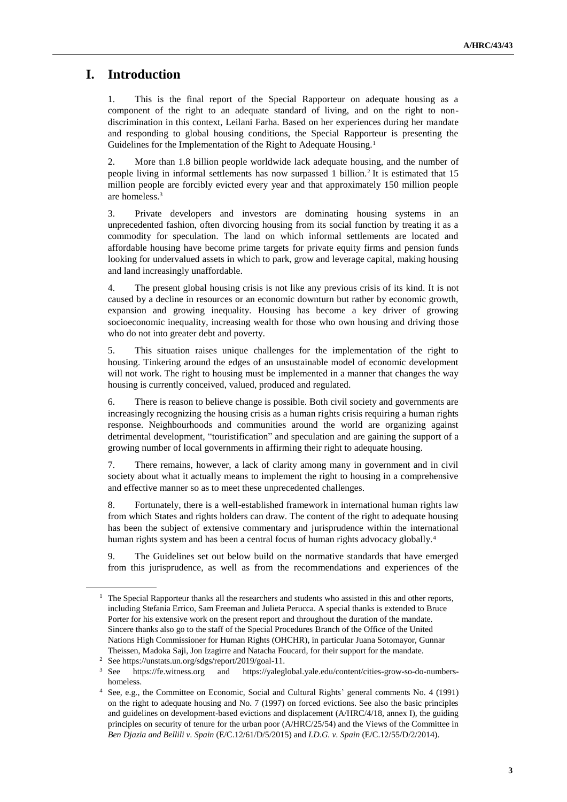# **I. Introduction**

This is the final report of the Special Rapporteur on adequate housing as a component of the right to an adequate standard of living, and on the right to nondiscrimination in this context, Leilani Farha. Based on her experiences during her mandate and responding to global housing conditions, the Special Rapporteur is presenting the Guidelines for the Implementation of the Right to Adequate Housing.<sup>1</sup>

2. More than 1.8 billion people worldwide lack adequate housing, and the number of people living in informal settlements has now surpassed 1 billion.<sup>2</sup> It is estimated that 15 million people are forcibly evicted every year and that approximately 150 million people are homeless.<sup>3</sup>

3. Private developers and investors are dominating housing systems in an unprecedented fashion, often divorcing housing from its social function by treating it as a commodity for speculation. The land on which informal settlements are located and affordable housing have become prime targets for private equity firms and pension funds looking for undervalued assets in which to park, grow and leverage capital, making housing and land increasingly unaffordable.

4. The present global housing crisis is not like any previous crisis of its kind. It is not caused by a decline in resources or an economic downturn but rather by economic growth, expansion and growing inequality. Housing has become a key driver of growing socioeconomic inequality, increasing wealth for those who own housing and driving those who do not into greater debt and poverty.

5. This situation raises unique challenges for the implementation of the right to housing. Tinkering around the edges of an unsustainable model of economic development will not work. The right to housing must be implemented in a manner that changes the way housing is currently conceived, valued, produced and regulated.

6. There is reason to believe change is possible. Both civil society and governments are increasingly recognizing the housing crisis as a human rights crisis requiring a human rights response. Neighbourhoods and communities around the world are organizing against detrimental development, "touristification" and speculation and are gaining the support of a growing number of local governments in affirming their right to adequate housing.

7. There remains, however, a lack of clarity among many in government and in civil society about what it actually means to implement the right to housing in a comprehensive and effective manner so as to meet these unprecedented challenges.

8. Fortunately, there is a well-established framework in international human rights law from which States and rights holders can draw. The content of the right to adequate housing has been the subject of extensive commentary and jurisprudence within the international human rights system and has been a central focus of human rights advocacy globally.<sup>4</sup>

9. The Guidelines set out below build on the normative standards that have emerged from this jurisprudence, as well as from the recommendations and experiences of the

<sup>&</sup>lt;sup>1</sup> The Special Rapporteur thanks all the researchers and students who assisted in this and other reports, including Stefania Errico, Sam Freeman and Julieta Perucca. A special thanks is extended to Bruce Porter for his extensive work on the present report and throughout the duration of the mandate. Sincere thanks also go to the staff of the Special Procedures Branch of the Office of the United Nations High Commissioner for Human Rights (OHCHR), in particular Juana Sotomayor, Gunnar Theissen, Madoka Saji, Jon Izagirre and Natacha Foucard, for their support for the mandate.

<sup>&</sup>lt;sup>2</sup> See https://unstats.un.org/sdgs/report/2019/goal-11.<br><sup>3</sup> See https://fe.witness.org and https://yaleg

https://fe.witness.org and https://yaleglobal.yale.edu/content/cities-grow-so-do-numbershomeless.

<sup>4</sup> See, e.g., the Committee on Economic, Social and Cultural Rights' general comments No. 4 (1991) on the right to adequate housing and No. 7 (1997) on forced evictions. See also the basic principles and guidelines on development-based evictions and displacement (A/HRC/4/18, annex I), the guiding principles on security of tenure for the urban poor (A/HRC/25/54) and the Views of the Committee in *Ben Djazia and Bellili v. Spain* (E/C.12/61/D/5/2015) and *I.D.G. v. Spain* (E/C.12/55/D/2/2014).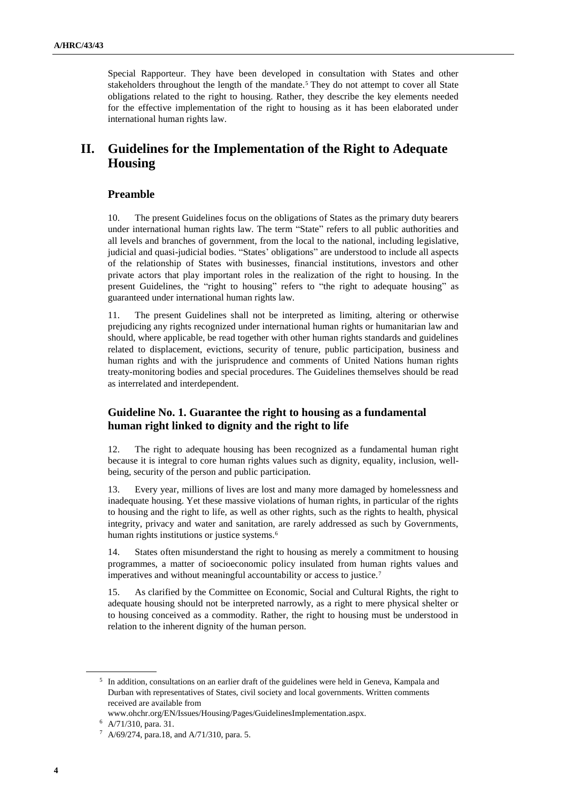Special Rapporteur. They have been developed in consultation with States and other stakeholders throughout the length of the mandate.<sup>5</sup> They do not attempt to cover all State obligations related to the right to housing. Rather, they describe the key elements needed for the effective implementation of the right to housing as it has been elaborated under international human rights law.

# **II. Guidelines for the Implementation of the Right to Adequate Housing**

# **Preamble**

10. The present Guidelines focus on the obligations of States as the primary duty bearers under international human rights law. The term "State" refers to all public authorities and all levels and branches of government, from the local to the national, including legislative, judicial and quasi-judicial bodies. "States' obligations" are understood to include all aspects of the relationship of States with businesses, financial institutions, investors and other private actors that play important roles in the realization of the right to housing. In the present Guidelines, the "right to housing" refers to "the right to adequate housing" as guaranteed under international human rights law.

11. The present Guidelines shall not be interpreted as limiting, altering or otherwise prejudicing any rights recognized under international human rights or humanitarian law and should, where applicable, be read together with other human rights standards and guidelines related to displacement, evictions, security of tenure, public participation, business and human rights and with the jurisprudence and comments of United Nations human rights treaty-monitoring bodies and special procedures. The Guidelines themselves should be read as interrelated and interdependent.

# **Guideline No. 1. Guarantee the right to housing as a fundamental human right linked to dignity and the right to life**

12. The right to adequate housing has been recognized as a fundamental human right because it is integral to core human rights values such as dignity, equality, inclusion, wellbeing, security of the person and public participation.

13. Every year, millions of lives are lost and many more damaged by homelessness and inadequate housing. Yet these massive violations of human rights, in particular of the rights to housing and the right to life, as well as other rights, such as the rights to health, physical integrity, privacy and water and sanitation, are rarely addressed as such by Governments, human rights institutions or justice systems.<sup>6</sup>

14. States often misunderstand the right to housing as merely a commitment to housing programmes, a matter of socioeconomic policy insulated from human rights values and imperatives and without meaningful accountability or access to justice.<sup>7</sup>

15. As clarified by the Committee on Economic, Social and Cultural Rights, the right to adequate housing should not be interpreted narrowly, as a right to mere physical shelter or to housing conceived as a commodity. Rather, the right to housing must be understood in relation to the inherent dignity of the human person.

<sup>&</sup>lt;sup>5</sup> In addition, consultations on an earlier draft of the guidelines were held in Geneva, Kampala and Durban with representatives of States, civil society and local governments. Written comments received are available from

www.ohchr.org/EN/Issues/Housing/Pages/GuidelinesImplementation.aspx.

<sup>6</sup> A/71/310, para. 31.

 $7$  A/69/274, para.18, and A/71/310, para. 5.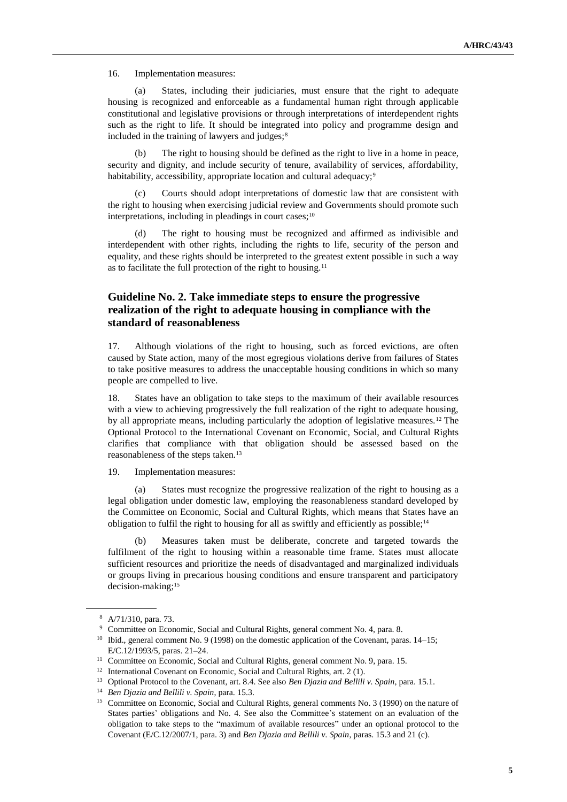16. Implementation measures:

(a) States, including their judiciaries, must ensure that the right to adequate housing is recognized and enforceable as a fundamental human right through applicable constitutional and legislative provisions or through interpretations of interdependent rights such as the right to life. It should be integrated into policy and programme design and included in the training of lawyers and judges; $8$ 

(b) The right to housing should be defined as the right to live in a home in peace, security and dignity, and include security of tenure, availability of services, affordability, habitability, accessibility, appropriate location and cultural adequacy;<sup>9</sup>

(c) Courts should adopt interpretations of domestic law that are consistent with the right to housing when exercising judicial review and Governments should promote such interpretations, including in pleadings in court cases; $10$ 

The right to housing must be recognized and affirmed as indivisible and interdependent with other rights, including the rights to life, security of the person and equality, and these rights should be interpreted to the greatest extent possible in such a way as to facilitate the full protection of the right to housing.<sup>11</sup>

# **Guideline No. 2. Take immediate steps to ensure the progressive realization of the right to adequate housing in compliance with the standard of reasonableness**

17. Although violations of the right to housing, such as forced evictions, are often caused by State action, many of the most egregious violations derive from failures of States to take positive measures to address the unacceptable housing conditions in which so many people are compelled to live.

18. States have an obligation to take steps to the maximum of their available resources with a view to achieving progressively the full realization of the right to adequate housing, by all appropriate means, including particularly the adoption of legislative measures.<sup>12</sup> The Optional Protocol to the International Covenant on Economic, Social, and Cultural Rights clarifies that compliance with that obligation should be assessed based on the reasonableness of the steps taken.<sup>13</sup>

19. Implementation measures:

(a) States must recognize the progressive realization of the right to housing as a legal obligation under domestic law, employing the reasonableness standard developed by the Committee on Economic, Social and Cultural Rights, which means that States have an obligation to fulfil the right to housing for all as swiftly and efficiently as possible;<sup>14</sup>

(b) Measures taken must be deliberate, concrete and targeted towards the fulfilment of the right to housing within a reasonable time frame. States must allocate sufficient resources and prioritize the needs of disadvantaged and marginalized individuals or groups living in precarious housing conditions and ensure transparent and participatory decision-making;<sup>15</sup>

<sup>8</sup> A/71/310, para. 73.

<sup>9</sup> Committee on Economic, Social and Cultural Rights, general comment No. 4, para. 8.

<sup>&</sup>lt;sup>10</sup> Ibid., general comment No. 9 (1998) on the domestic application of the Covenant, paras. 14–15; E/C.12/1993/5, paras. 21–24.

<sup>&</sup>lt;sup>11</sup> Committee on Economic, Social and Cultural Rights, general comment No. 9, para. 15.

<sup>&</sup>lt;sup>12</sup> International Covenant on Economic, Social and Cultural Rights, art. 2 (1).

<sup>13</sup> Optional Protocol to the Covenant, art. 8.4. See also *Ben Djazia and Bellili v. Spain*, para. 15.1.

<sup>14</sup> *Ben Djazia and Bellili v. Spain*, para. 15.3.

<sup>&</sup>lt;sup>15</sup> Committee on Economic, Social and Cultural Rights, general comments No. 3 (1990) on the nature of States parties' obligations and No. 4. See also the Committee's statement on an evaluation of the obligation to take steps to the "maximum of available resources" under an optional protocol to the Covenant (E/C.12/2007/1, para. 3) and *Ben Djazia and Bellili v. Spain*, paras. 15.3 and 21 (c).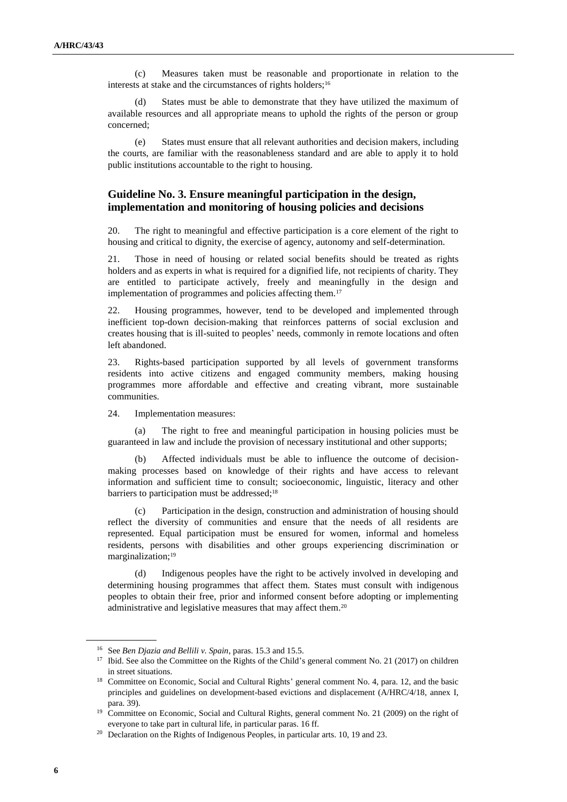(c) Measures taken must be reasonable and proportionate in relation to the interests at stake and the circumstances of rights holders;<sup>16</sup>

(d) States must be able to demonstrate that they have utilized the maximum of available resources and all appropriate means to uphold the rights of the person or group concerned;

(e) States must ensure that all relevant authorities and decision makers, including the courts, are familiar with the reasonableness standard and are able to apply it to hold public institutions accountable to the right to housing.

# **Guideline No. 3. Ensure meaningful participation in the design, implementation and monitoring of housing policies and decisions**

20. The right to meaningful and effective participation is a core element of the right to housing and critical to dignity, the exercise of agency, autonomy and self-determination.

21. Those in need of housing or related social benefits should be treated as rights holders and as experts in what is required for a dignified life, not recipients of charity. They are entitled to participate actively, freely and meaningfully in the design and implementation of programmes and policies affecting them.<sup>17</sup>

22. Housing programmes, however, tend to be developed and implemented through inefficient top-down decision-making that reinforces patterns of social exclusion and creates housing that is ill-suited to peoples' needs, commonly in remote locations and often left abandoned.

23. Rights-based participation supported by all levels of government transforms residents into active citizens and engaged community members, making housing programmes more affordable and effective and creating vibrant, more sustainable communities.

24. Implementation measures:

(a) The right to free and meaningful participation in housing policies must be guaranteed in law and include the provision of necessary institutional and other supports;

(b) Affected individuals must be able to influence the outcome of decisionmaking processes based on knowledge of their rights and have access to relevant information and sufficient time to consult; socioeconomic, linguistic, literacy and other barriers to participation must be addressed;<sup>18</sup>

(c) Participation in the design, construction and administration of housing should reflect the diversity of communities and ensure that the needs of all residents are represented. Equal participation must be ensured for women, informal and homeless residents, persons with disabilities and other groups experiencing discrimination or marginalization;<sup>19</sup>

(d) Indigenous peoples have the right to be actively involved in developing and determining housing programmes that affect them. States must consult with indigenous peoples to obtain their free, prior and informed consent before adopting or implementing administrative and legislative measures that may affect them.<sup>20</sup>

<sup>16</sup> See *Ben Djazia and Bellili v. Spain*, paras. 15.3 and 15.5.

<sup>&</sup>lt;sup>17</sup> Ibid. See also the Committee on the Rights of the Child's general comment No. 21 (2017) on children in street situations.

<sup>&</sup>lt;sup>18</sup> Committee on Economic, Social and Cultural Rights' general comment No. 4, para. 12, and the basic principles and guidelines on development-based evictions and displacement (A/HRC/4/18, annex I, para. 39).

<sup>&</sup>lt;sup>19</sup> Committee on Economic, Social and Cultural Rights, general comment No. 21 (2009) on the right of everyone to take part in cultural life, in particular paras. 16 ff.

<sup>&</sup>lt;sup>20</sup> Declaration on the Rights of Indigenous Peoples, in particular arts. 10, 19 and 23.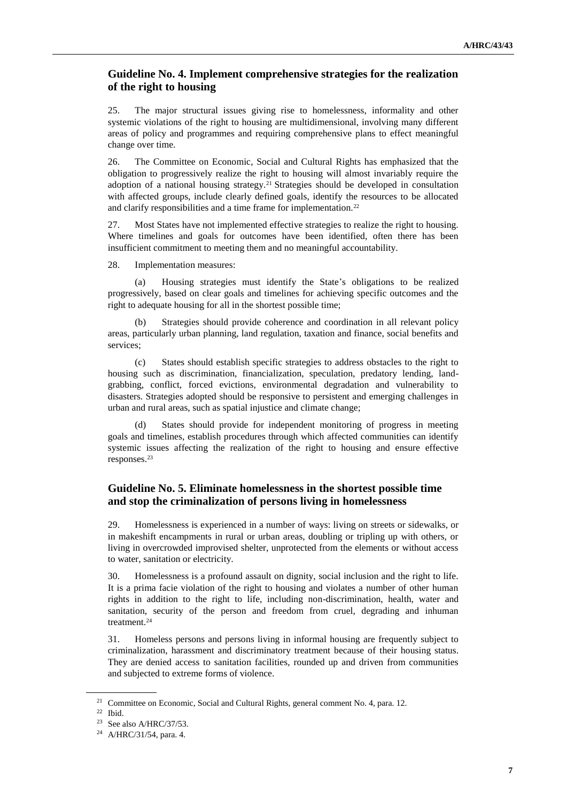#### **Guideline No. 4. Implement comprehensive strategies for the realization of the right to housing**

25. The major structural issues giving rise to homelessness, informality and other systemic violations of the right to housing are multidimensional, involving many different areas of policy and programmes and requiring comprehensive plans to effect meaningful change over time.

26. The Committee on Economic, Social and Cultural Rights has emphasized that the obligation to progressively realize the right to housing will almost invariably require the adoption of a national housing strategy.<sup>21</sup> Strategies should be developed in consultation with affected groups, include clearly defined goals, identify the resources to be allocated and clarify responsibilities and a time frame for implementation.<sup>22</sup>

27. Most States have not implemented effective strategies to realize the right to housing. Where timelines and goals for outcomes have been identified, often there has been insufficient commitment to meeting them and no meaningful accountability.

28. Implementation measures:

(a) Housing strategies must identify the State's obligations to be realized progressively, based on clear goals and timelines for achieving specific outcomes and the right to adequate housing for all in the shortest possible time;

(b) Strategies should provide coherence and coordination in all relevant policy areas, particularly urban planning, land regulation, taxation and finance, social benefits and services;

(c) States should establish specific strategies to address obstacles to the right to housing such as discrimination, financialization, speculation, predatory lending, landgrabbing, conflict, forced evictions, environmental degradation and vulnerability to disasters. Strategies adopted should be responsive to persistent and emerging challenges in urban and rural areas, such as spatial injustice and climate change;

States should provide for independent monitoring of progress in meeting goals and timelines, establish procedures through which affected communities can identify systemic issues affecting the realization of the right to housing and ensure effective responses.<sup>23</sup>

# **Guideline No. 5. Eliminate homelessness in the shortest possible time and stop the criminalization of persons living in homelessness**

29. Homelessness is experienced in a number of ways: living on streets or sidewalks, or in makeshift encampments in rural or urban areas, doubling or tripling up with others, or living in overcrowded improvised shelter, unprotected from the elements or without access to water, sanitation or electricity.

30. Homelessness is a profound assault on dignity, social inclusion and the right to life. It is a prima facie violation of the right to housing and violates a number of other human rights in addition to the right to life, including non-discrimination, health, water and sanitation, security of the person and freedom from cruel, degrading and inhuman treatment.<sup>24</sup>

31. Homeless persons and persons living in informal housing are frequently subject to criminalization, harassment and discriminatory treatment because of their housing status. They are denied access to sanitation facilities, rounded up and driven from communities and subjected to extreme forms of violence.

<sup>&</sup>lt;sup>21</sup> Committee on Economic, Social and Cultural Rights, general comment No. 4, para. 12.

<sup>22</sup> Ibid.

<sup>23</sup> See also A/HRC/37/53.

<sup>24</sup> A/HRC/31/54, para. 4.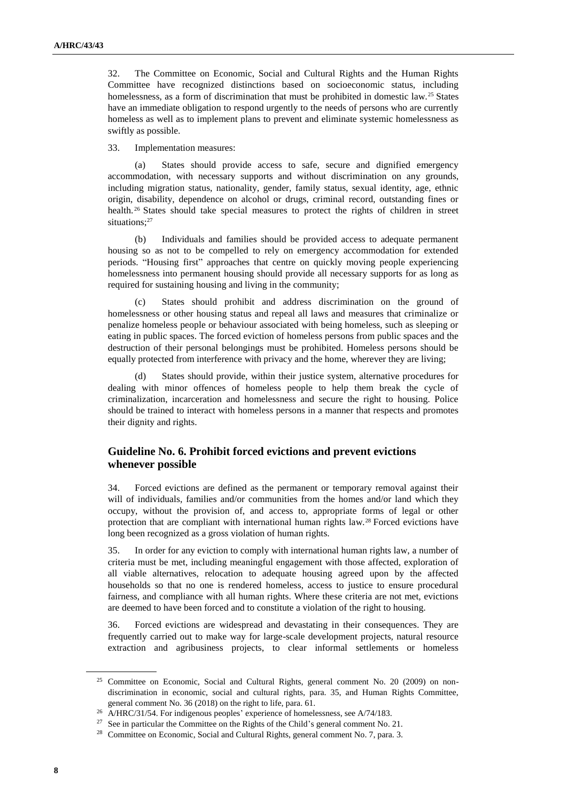32. The Committee on Economic, Social and Cultural Rights and the Human Rights Committee have recognized distinctions based on socioeconomic status, including homelessness, as a form of discrimination that must be prohibited in domestic law.<sup>25</sup> States have an immediate obligation to respond urgently to the needs of persons who are currently homeless as well as to implement plans to prevent and eliminate systemic homelessness as swiftly as possible.

33. Implementation measures:

(a) States should provide access to safe, secure and dignified emergency accommodation, with necessary supports and without discrimination on any grounds, including migration status, nationality, gender, family status, sexual identity, age, ethnic origin, disability, dependence on alcohol or drugs, criminal record, outstanding fines or health.<sup>26</sup> States should take special measures to protect the rights of children in street situations;<sup>27</sup>

(b) Individuals and families should be provided access to adequate permanent housing so as not to be compelled to rely on emergency accommodation for extended periods. "Housing first" approaches that centre on quickly moving people experiencing homelessness into permanent housing should provide all necessary supports for as long as required for sustaining housing and living in the community;

(c) States should prohibit and address discrimination on the ground of homelessness or other housing status and repeal all laws and measures that criminalize or penalize homeless people or behaviour associated with being homeless, such as sleeping or eating in public spaces. The forced eviction of homeless persons from public spaces and the destruction of their personal belongings must be prohibited. Homeless persons should be equally protected from interference with privacy and the home, wherever they are living;

(d) States should provide, within their justice system, alternative procedures for dealing with minor offences of homeless people to help them break the cycle of criminalization, incarceration and homelessness and secure the right to housing. Police should be trained to interact with homeless persons in a manner that respects and promotes their dignity and rights.

#### **Guideline No. 6. Prohibit forced evictions and prevent evictions whenever possible**

34. Forced evictions are defined as the permanent or temporary removal against their will of individuals, families and/or communities from the homes and/or land which they occupy, without the provision of, and access to, appropriate forms of legal or other protection that are compliant with international human rights law.<sup>28</sup> Forced evictions have long been recognized as a gross violation of human rights.

35. In order for any eviction to comply with international human rights law, a number of criteria must be met, including meaningful engagement with those affected, exploration of all viable alternatives, relocation to adequate housing agreed upon by the affected households so that no one is rendered homeless, access to justice to ensure procedural fairness, and compliance with all human rights. Where these criteria are not met, evictions are deemed to have been forced and to constitute a violation of the right to housing.

36. Forced evictions are widespread and devastating in their consequences. They are frequently carried out to make way for large-scale development projects, natural resource extraction and agribusiness projects, to clear informal settlements or homeless

<sup>25</sup> Committee on Economic, Social and Cultural Rights, general comment No. 20 (2009) on nondiscrimination in economic, social and cultural rights, para. 35, and Human Rights Committee, general comment No. 36 (2018) on the right to life, para. 61.

<sup>&</sup>lt;sup>26</sup> A/HRC/31/54. For indigenous peoples' experience of homelessness, see A/74/183.

<sup>&</sup>lt;sup>27</sup> See in particular the Committee on the Rights of the Child's general comment No. 21.

<sup>&</sup>lt;sup>28</sup> Committee on Economic, Social and Cultural Rights, general comment No. 7, para. 3.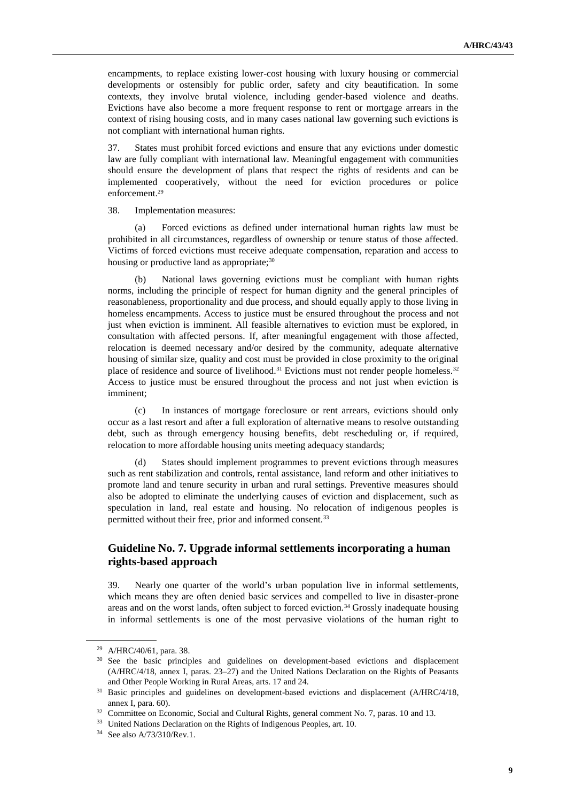encampments, to replace existing lower-cost housing with luxury housing or commercial developments or ostensibly for public order, safety and city beautification. In some contexts, they involve brutal violence, including gender-based violence and deaths. Evictions have also become a more frequent response to rent or mortgage arrears in the context of rising housing costs, and in many cases national law governing such evictions is not compliant with international human rights.

37. States must prohibit forced evictions and ensure that any evictions under domestic law are fully compliant with international law. Meaningful engagement with communities should ensure the development of plans that respect the rights of residents and can be implemented cooperatively, without the need for eviction procedures or police enforcement.<sup>29</sup>

38. Implementation measures:

(a) Forced evictions as defined under international human rights law must be prohibited in all circumstances, regardless of ownership or tenure status of those affected. Victims of forced evictions must receive adequate compensation, reparation and access to housing or productive land as appropriate;<sup>30</sup>

(b) National laws governing evictions must be compliant with human rights norms, including the principle of respect for human dignity and the general principles of reasonableness, proportionality and due process, and should equally apply to those living in homeless encampments. Access to justice must be ensured throughout the process and not just when eviction is imminent. All feasible alternatives to eviction must be explored, in consultation with affected persons. If, after meaningful engagement with those affected, relocation is deemed necessary and/or desired by the community, adequate alternative housing of similar size, quality and cost must be provided in close proximity to the original place of residence and source of livelihood.<sup>31</sup> Evictions must not render people homeless.<sup>32</sup> Access to justice must be ensured throughout the process and not just when eviction is imminent;

(c) In instances of mortgage foreclosure or rent arrears, evictions should only occur as a last resort and after a full exploration of alternative means to resolve outstanding debt, such as through emergency housing benefits, debt rescheduling or, if required, relocation to more affordable housing units meeting adequacy standards;

States should implement programmes to prevent evictions through measures such as rent stabilization and controls, rental assistance, land reform and other initiatives to promote land and tenure security in urban and rural settings. Preventive measures should also be adopted to eliminate the underlying causes of eviction and displacement, such as speculation in land, real estate and housing. No relocation of indigenous peoples is permitted without their free, prior and informed consent.<sup>33</sup>

# **Guideline No. 7. Upgrade informal settlements incorporating a human rights-based approach**

39. Nearly one quarter of the world's urban population live in informal settlements, which means they are often denied basic services and compelled to live in disaster-prone areas and on the worst lands, often subject to forced eviction.<sup>34</sup> Grossly inadequate housing in informal settlements is one of the most pervasive violations of the human right to

<sup>29</sup> A/HRC/40/61, para. 38.

<sup>&</sup>lt;sup>30</sup> See the basic principles and guidelines on development-based evictions and displacement (A/HRC/4/18, annex I, paras. 23–27) and the United Nations Declaration on the Rights of Peasants and Other People Working in Rural Areas, arts. 17 and 24.

<sup>&</sup>lt;sup>31</sup> Basic principles and guidelines on development-based evictions and displacement (A/HRC/4/18, annex I, para. 60).

<sup>&</sup>lt;sup>32</sup> Committee on Economic, Social and Cultural Rights, general comment No. 7, paras. 10 and 13.

<sup>&</sup>lt;sup>33</sup> United Nations Declaration on the Rights of Indigenous Peoples, art. 10.

<sup>34</sup> See also A/73/310/Rev.1.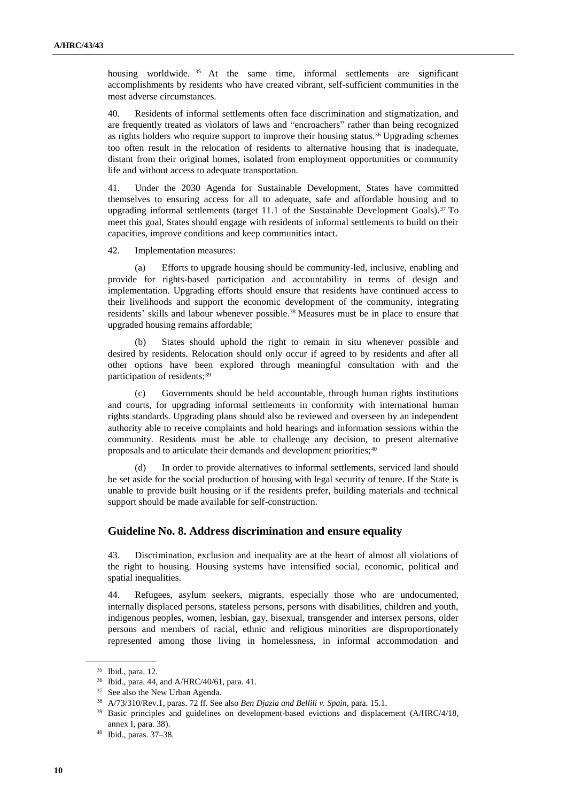housing worldwide. <sup>35</sup> At the same time, informal settlements are significant accomplishments by residents who have created vibrant, self-sufficient communities in the most adverse circumstances.

40. Residents of informal settlements often face discrimination and stigmatization, and are frequently treated as violators of laws and "encroachers" rather than being recognized as rights holders who require support to improve their housing status.<sup>36</sup> Upgrading schemes too often result in the relocation of residents to alternative housing that is inadequate, distant from their original homes, isolated from employment opportunities or community life and without access to adequate transportation.

41. Under the 2030 Agenda for Sustainable Development, States have committed themselves to ensuring access for all to adequate, safe and affordable housing and to upgrading informal settlements (target  $11.1$  of the Sustainable Development Goals).<sup>37</sup> To meet this goal, States should engage with residents of informal settlements to build on their capacities, improve conditions and keep communities intact.

42. Implementation measures:

(a) Efforts to upgrade housing should be community-led, inclusive, enabling and provide for rights-based participation and accountability in terms of design and implementation. Upgrading efforts should ensure that residents have continued access to their livelihoods and support the economic development of the community, integrating residents' skills and labour whenever possible.<sup>38</sup> Measures must be in place to ensure that upgraded housing remains affordable;

(b) States should uphold the right to remain in situ whenever possible and desired by residents. Relocation should only occur if agreed to by residents and after all other options have been explored through meaningful consultation with and the participation of residents;<sup>39</sup>

(c) Governments should be held accountable, through human rights institutions and courts, for upgrading informal settlements in conformity with international human rights standards. Upgrading plans should also be reviewed and overseen by an independent authority able to receive complaints and hold hearings and information sessions within the community. Residents must be able to challenge any decision, to present alternative proposals and to articulate their demands and development priorities;<sup>40</sup>

(d) In order to provide alternatives to informal settlements, serviced land should be set aside for the social production of housing with legal security of tenure. If the State is unable to provide built housing or if the residents prefer, building materials and technical support should be made available for self-construction.

#### **Guideline No. 8. Address discrimination and ensure equality**

43. Discrimination, exclusion and inequality are at the heart of almost all violations of the right to housing. Housing systems have intensified social, economic, political and spatial inequalities.

44. Refugees, asylum seekers, migrants, especially those who are undocumented, internally displaced persons, stateless persons, persons with disabilities, children and youth, indigenous peoples, women, lesbian, gay, bisexual, transgender and intersex persons, older persons and members of racial, ethnic and religious minorities are disproportionately represented among those living in homelessness, in informal accommodation and

<sup>35</sup> Ibid., para. 12.

<sup>36</sup> Ibid., para. 44, and A/HRC/40/61, para. 41.

<sup>37</sup> See also the New Urban Agenda.

<sup>38</sup> A/73/310/Rev.1, paras. 72 ff. See also *Ben Djazia and Bellili v. Spain*, para. 15.1.

<sup>&</sup>lt;sup>39</sup> Basic principles and guidelines on development-based evictions and displacement (A/HRC/4/18, annex I, para. 38).

<sup>40</sup> Ibid., paras. 37–38.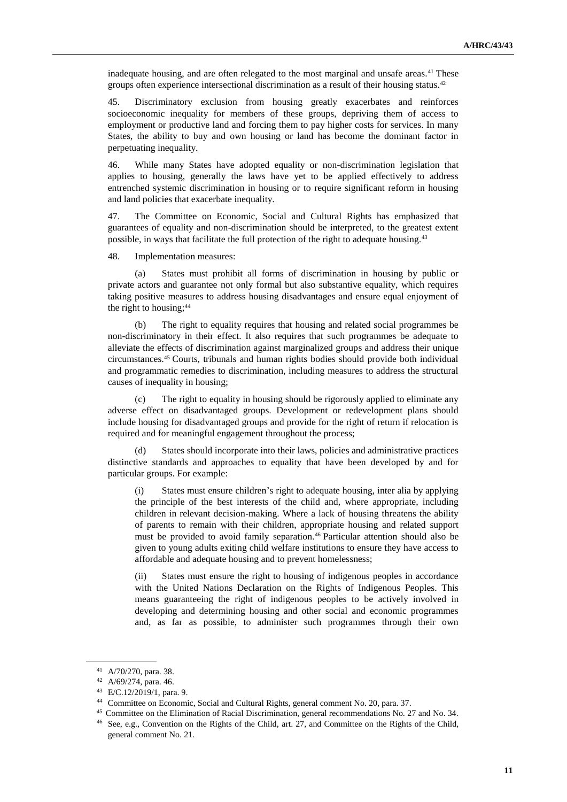inadequate housing, and are often relegated to the most marginal and unsafe areas.<sup>41</sup> These groups often experience intersectional discrimination as a result of their housing status.<sup>42</sup>

45. Discriminatory exclusion from housing greatly exacerbates and reinforces socioeconomic inequality for members of these groups, depriving them of access to employment or productive land and forcing them to pay higher costs for services. In many States, the ability to buy and own housing or land has become the dominant factor in perpetuating inequality.

46. While many States have adopted equality or non-discrimination legislation that applies to housing, generally the laws have yet to be applied effectively to address entrenched systemic discrimination in housing or to require significant reform in housing and land policies that exacerbate inequality.

47. The Committee on Economic, Social and Cultural Rights has emphasized that guarantees of equality and non-discrimination should be interpreted, to the greatest extent possible, in ways that facilitate the full protection of the right to adequate housing.<sup>43</sup>

48. Implementation measures:

(a) States must prohibit all forms of discrimination in housing by public or private actors and guarantee not only formal but also substantive equality, which requires taking positive measures to address housing disadvantages and ensure equal enjoyment of the right to housing;<sup>44</sup>

(b) The right to equality requires that housing and related social programmes be non-discriminatory in their effect. It also requires that such programmes be adequate to alleviate the effects of discrimination against marginalized groups and address their unique circumstances.<sup>45</sup> Courts, tribunals and human rights bodies should provide both individual and programmatic remedies to discrimination, including measures to address the structural causes of inequality in housing;

(c) The right to equality in housing should be rigorously applied to eliminate any adverse effect on disadvantaged groups. Development or redevelopment plans should include housing for disadvantaged groups and provide for the right of return if relocation is required and for meaningful engagement throughout the process;

(d) States should incorporate into their laws, policies and administrative practices distinctive standards and approaches to equality that have been developed by and for particular groups. For example:

(i) States must ensure children's right to adequate housing, inter alia by applying the principle of the best interests of the child and, where appropriate, including children in relevant decision-making. Where a lack of housing threatens the ability of parents to remain with their children, appropriate housing and related support must be provided to avoid family separation.<sup>46</sup> Particular attention should also be given to young adults exiting child welfare institutions to ensure they have access to affordable and adequate housing and to prevent homelessness;

(ii) States must ensure the right to housing of indigenous peoples in accordance with the United Nations Declaration on the Rights of Indigenous Peoples. This means guaranteeing the right of indigenous peoples to be actively involved in developing and determining housing and other social and economic programmes and, as far as possible, to administer such programmes through their own

<sup>41</sup> A/70/270, para. 38.

<sup>42</sup> A/69/274, para. 46.

<sup>43</sup> E/C.12/2019/1, para. 9.

<sup>44</sup> Committee on Economic, Social and Cultural Rights, general comment No. 20, para. 37.

<sup>45</sup> Committee on the Elimination of Racial Discrimination, general recommendations No. 27 and No. 34. <sup>46</sup> See, e.g., Convention on the Rights of the Child, art. 27, and Committee on the Rights of the Child, general comment No. 21.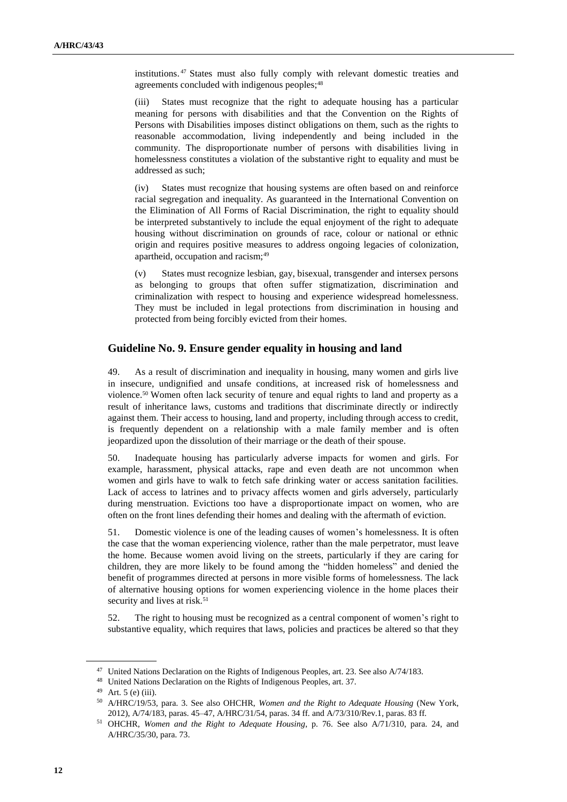institutions. <sup>47</sup> States must also fully comply with relevant domestic treaties and agreements concluded with indigenous peoples;<sup>48</sup>

(iii) States must recognize that the right to adequate housing has a particular meaning for persons with disabilities and that the Convention on the Rights of Persons with Disabilities imposes distinct obligations on them, such as the rights to reasonable accommodation, living independently and being included in the community. The disproportionate number of persons with disabilities living in homelessness constitutes a violation of the substantive right to equality and must be addressed as such;

(iv) States must recognize that housing systems are often based on and reinforce racial segregation and inequality. As guaranteed in the International Convention on the Elimination of All Forms of Racial Discrimination, the right to equality should be interpreted substantively to include the equal enjoyment of the right to adequate housing without discrimination on grounds of race, colour or national or ethnic origin and requires positive measures to address ongoing legacies of colonization, apartheid, occupation and racism;<sup>49</sup>

(v) States must recognize lesbian, gay, bisexual, transgender and intersex persons as belonging to groups that often suffer stigmatization, discrimination and criminalization with respect to housing and experience widespread homelessness. They must be included in legal protections from discrimination in housing and protected from being forcibly evicted from their homes.

#### **Guideline No. 9. Ensure gender equality in housing and land**

49. As a result of discrimination and inequality in housing, many women and girls live in insecure, undignified and unsafe conditions, at increased risk of homelessness and violence.<sup>50</sup> Women often lack security of tenure and equal rights to land and property as a result of inheritance laws, customs and traditions that discriminate directly or indirectly against them. Their access to housing, land and property, including through access to credit, is frequently dependent on a relationship with a male family member and is often jeopardized upon the dissolution of their marriage or the death of their spouse.

50. Inadequate housing has particularly adverse impacts for women and girls. For example, harassment, physical attacks, rape and even death are not uncommon when women and girls have to walk to fetch safe drinking water or access sanitation facilities. Lack of access to latrines and to privacy affects women and girls adversely, particularly during menstruation. Evictions too have a disproportionate impact on women, who are often on the front lines defending their homes and dealing with the aftermath of eviction.

51. Domestic violence is one of the leading causes of women's homelessness. It is often the case that the woman experiencing violence, rather than the male perpetrator, must leave the home. Because women avoid living on the streets, particularly if they are caring for children, they are more likely to be found among the "hidden homeless" and denied the benefit of programmes directed at persons in more visible forms of homelessness. The lack of alternative housing options for women experiencing violence in the home places their security and lives at risk.<sup>51</sup>

52. The right to housing must be recognized as a central component of women's right to substantive equality, which requires that laws, policies and practices be altered so that they

<sup>&</sup>lt;sup>47</sup> United Nations Declaration on the Rights of Indigenous Peoples, art. 23. See also A/74/183.

<sup>48</sup> United Nations Declaration on the Rights of Indigenous Peoples, art. 37.

 $49$  Art. 5 (e) (iii).

<sup>50</sup> A/HRC/19/53, para. 3. See also OHCHR, *Women and the Right to Adequate Housing* (New York, 2012), A/74/183, paras. 45–47, A/HRC/31/54, paras. 34 ff. and A/73/310/Rev.1, paras. 83 ff.

<sup>51</sup> OHCHR, *Women and the Right to Adequate Housing*, p. 76. See also A/71/310, para. 24, and A/HRC/35/30, para. 73.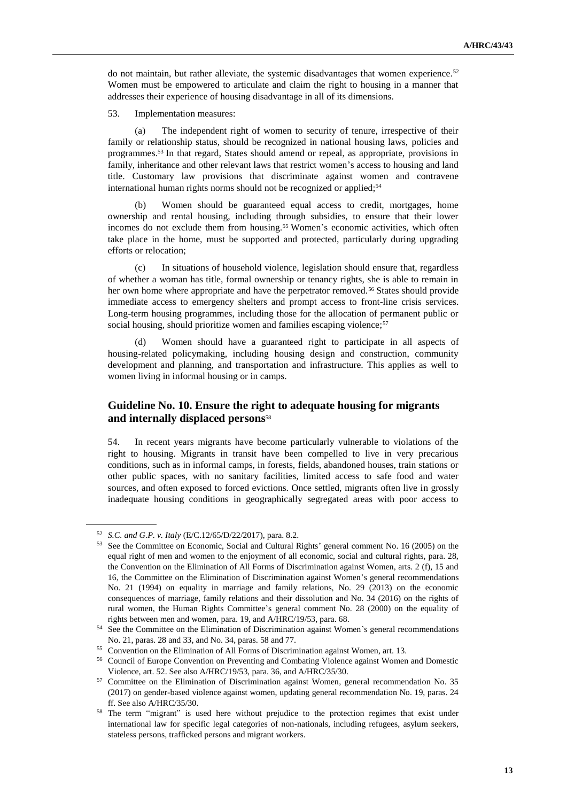do not maintain, but rather alleviate, the systemic disadvantages that women experience.<sup>52</sup> Women must be empowered to articulate and claim the right to housing in a manner that addresses their experience of housing disadvantage in all of its dimensions.

53. Implementation measures:

(a) The independent right of women to security of tenure, irrespective of their family or relationship status, should be recognized in national housing laws, policies and programmes.<sup>53</sup> In that regard, States should amend or repeal, as appropriate, provisions in family, inheritance and other relevant laws that restrict women's access to housing and land title. Customary law provisions that discriminate against women and contravene international human rights norms should not be recognized or applied;<sup>54</sup>

(b) Women should be guaranteed equal access to credit, mortgages, home ownership and rental housing, including through subsidies, to ensure that their lower incomes do not exclude them from housing.<sup>55</sup> Women's economic activities, which often take place in the home, must be supported and protected, particularly during upgrading efforts or relocation;

(c) In situations of household violence, legislation should ensure that, regardless of whether a woman has title, formal ownership or tenancy rights, she is able to remain in her own home where appropriate and have the perpetrator removed.<sup>56</sup> States should provide immediate access to emergency shelters and prompt access to front-line crisis services. Long-term housing programmes, including those for the allocation of permanent public or social housing, should prioritize women and families escaping violence;<sup>57</sup>

(d) Women should have a guaranteed right to participate in all aspects of housing-related policymaking, including housing design and construction, community development and planning, and transportation and infrastructure. This applies as well to women living in informal housing or in camps.

# **Guideline No. 10. Ensure the right to adequate housing for migrants and internally displaced persons**<sup>58</sup>

54. In recent years migrants have become particularly vulnerable to violations of the right to housing. Migrants in transit have been compelled to live in very precarious conditions, such as in informal camps, in forests, fields, abandoned houses, train stations or other public spaces, with no sanitary facilities, limited access to safe food and water sources, and often exposed to forced evictions. Once settled, migrants often live in grossly inadequate housing conditions in geographically segregated areas with poor access to

<sup>52</sup> *S.C. and G.P. v. Italy* (E/C.12/65/D/22/2017), para. 8.2.

<sup>53</sup> See the Committee on Economic, Social and Cultural Rights' general comment No. 16 (2005) on the equal right of men and women to the enjoyment of all economic, social and cultural rights, para. 28, the Convention on the Elimination of All Forms of Discrimination against Women, arts. 2 (f), 15 and 16, the Committee on the Elimination of Discrimination against Women's general recommendations No. 21 (1994) on equality in marriage and family relations, No. 29 (2013) on the economic consequences of marriage, family relations and their dissolution and No. 34 (2016) on the rights of rural women, the Human Rights Committee's general comment No. 28 (2000) on the equality of rights between men and women, para. 19, and A/HRC/19/53, para. 68.

<sup>&</sup>lt;sup>54</sup> See the Committee on the Elimination of Discrimination against Women's general recommendations No. 21, paras. 28 and 33, and No. 34, paras. 58 and 77.

<sup>55</sup> Convention on the Elimination of All Forms of Discrimination against Women, art. 13.

<sup>56</sup> Council of Europe Convention on Preventing and Combating Violence against Women and Domestic Violence, art. 52. See also A/HRC/19/53, para. 36, and A/HRC/35/30.

<sup>&</sup>lt;sup>57</sup> Committee on the Elimination of Discrimination against Women, general recommendation No. 35 (2017) on gender-based violence against women, updating general recommendation No. 19, paras. 24 ff. See also A/HRC/35/30.

<sup>&</sup>lt;sup>58</sup> The term "migrant" is used here without prejudice to the protection regimes that exist under international law for specific legal categories of non-nationals, including refugees, asylum seekers, stateless persons, trafficked persons and migrant workers.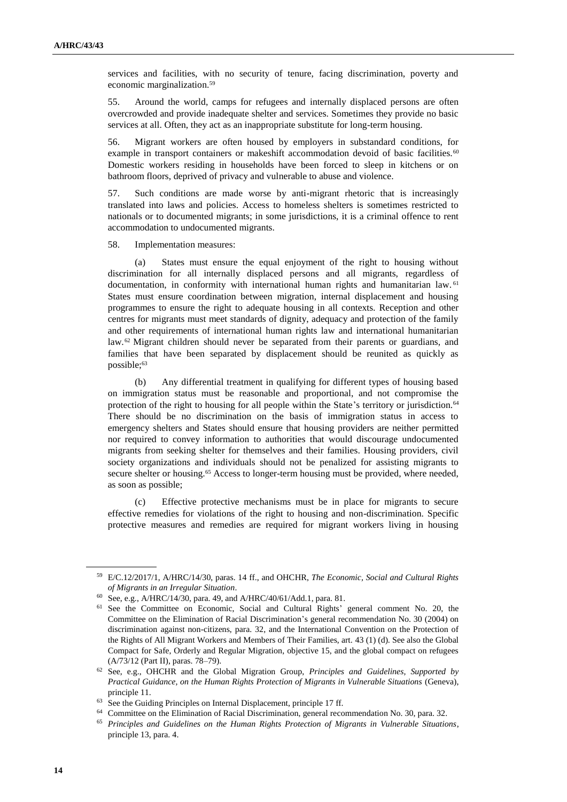services and facilities, with no security of tenure, facing discrimination, poverty and economic marginalization.<sup>59</sup>

55. Around the world, camps for refugees and internally displaced persons are often overcrowded and provide inadequate shelter and services. Sometimes they provide no basic services at all. Often, they act as an inappropriate substitute for long-term housing.

56. Migrant workers are often housed by employers in substandard conditions, for example in transport containers or makeshift accommodation devoid of basic facilities.<sup>60</sup> Domestic workers residing in households have been forced to sleep in kitchens or on bathroom floors, deprived of privacy and vulnerable to abuse and violence.

57. Such conditions are made worse by anti-migrant rhetoric that is increasingly translated into laws and policies. Access to homeless shelters is sometimes restricted to nationals or to documented migrants; in some jurisdictions, it is a criminal offence to rent accommodation to undocumented migrants.

58. Implementation measures:

(a) States must ensure the equal enjoyment of the right to housing without discrimination for all internally displaced persons and all migrants, regardless of documentation, in conformity with international human rights and humanitarian law. <sup>61</sup> States must ensure coordination between migration, internal displacement and housing programmes to ensure the right to adequate housing in all contexts. Reception and other centres for migrants must meet standards of dignity, adequacy and protection of the family and other requirements of international human rights law and international humanitarian law.<sup>62</sup> Migrant children should never be separated from their parents or guardians, and families that have been separated by displacement should be reunited as quickly as possible;<sup>63</sup>

Any differential treatment in qualifying for different types of housing based on immigration status must be reasonable and proportional, and not compromise the protection of the right to housing for all people within the State's territory or jurisdiction.<sup>64</sup> There should be no discrimination on the basis of immigration status in access to emergency shelters and States should ensure that housing providers are neither permitted nor required to convey information to authorities that would discourage undocumented migrants from seeking shelter for themselves and their families. Housing providers, civil society organizations and individuals should not be penalized for assisting migrants to secure shelter or housing.<sup>65</sup> Access to longer-term housing must be provided, where needed, as soon as possible;

(c) Effective protective mechanisms must be in place for migrants to secure effective remedies for violations of the right to housing and non-discrimination. Specific protective measures and remedies are required for migrant workers living in housing

<sup>64</sup> Committee on the Elimination of Racial Discrimination, general recommendation No. 30, para. 32.

<sup>59</sup> E/C.12/2017/1, A/HRC/14/30, paras. 14 ff., and OHCHR, *The Economic, Social and Cultural Rights of Migrants in an Irregular Situation*.

<sup>60</sup> See, e.g., A/HRC/14/30, para. 49, and A/HRC/40/61/Add.1, para. 81.

<sup>61</sup> See the Committee on Economic, Social and Cultural Rights' general comment No. 20, the Committee on the Elimination of Racial Discrimination's general recommendation No. 30 (2004) on discrimination against non-citizens, para. 32, and the International Convention on the Protection of the Rights of All Migrant Workers and Members of Their Families, art. 43 (1) (d). See also the Global Compact for Safe, Orderly and Regular Migration, objective 15, and the global compact on refugees (A/73/12 (Part II), paras. 78–79).

<sup>62</sup> See, e.g., OHCHR and the Global Migration Group, *Principles and Guidelines, Supported by Practical Guidance, on the Human Rights Protection of Migrants in Vulnerable Situations* (Geneva), principle 11.

<sup>&</sup>lt;sup>63</sup> See the Guiding Principles on Internal Displacement, principle 17 ff.

<sup>65</sup> *Principles and Guidelines on the Human Rights Protection of Migrants in Vulnerable Situations*, principle 13, para. 4.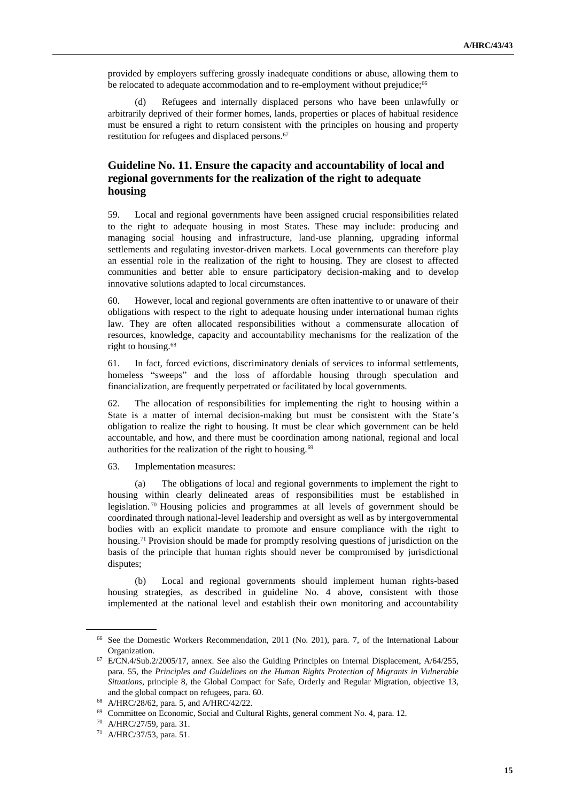provided by employers suffering grossly inadequate conditions or abuse, allowing them to be relocated to adequate accommodation and to re-employment without prejudice;<sup>66</sup>

(d) Refugees and internally displaced persons who have been unlawfully or arbitrarily deprived of their former homes, lands, properties or places of habitual residence must be ensured a right to return consistent with the principles on housing and property restitution for refugees and displaced persons.<sup>67</sup>

# **Guideline No. 11. Ensure the capacity and accountability of local and regional governments for the realization of the right to adequate housing**

59. Local and regional governments have been assigned crucial responsibilities related to the right to adequate housing in most States. These may include: producing and managing social housing and infrastructure, land-use planning, upgrading informal settlements and regulating investor-driven markets. Local governments can therefore play an essential role in the realization of the right to housing. They are closest to affected communities and better able to ensure participatory decision-making and to develop innovative solutions adapted to local circumstances.

60. However, local and regional governments are often inattentive to or unaware of their obligations with respect to the right to adequate housing under international human rights law. They are often allocated responsibilities without a commensurate allocation of resources, knowledge, capacity and accountability mechanisms for the realization of the right to housing.<sup>68</sup>

61. In fact, forced evictions, discriminatory denials of services to informal settlements, homeless "sweeps" and the loss of affordable housing through speculation and financialization, are frequently perpetrated or facilitated by local governments.

62. The allocation of responsibilities for implementing the right to housing within a State is a matter of internal decision-making but must be consistent with the State's obligation to realize the right to housing. It must be clear which government can be held accountable, and how, and there must be coordination among national, regional and local authorities for the realization of the right to housing.<sup>69</sup>

63. Implementation measures:

(a) The obligations of local and regional governments to implement the right to housing within clearly delineated areas of responsibilities must be established in legislation. <sup>70</sup> Housing policies and programmes at all levels of government should be coordinated through national-level leadership and oversight as well as by intergovernmental bodies with an explicit mandate to promote and ensure compliance with the right to housing.<sup>71</sup> Provision should be made for promptly resolving questions of jurisdiction on the basis of the principle that human rights should never be compromised by jurisdictional disputes;

(b) Local and regional governments should implement human rights-based housing strategies, as described in guideline No. 4 above, consistent with those implemented at the national level and establish their own monitoring and accountability

<sup>66</sup> See the Domestic Workers Recommendation, 2011 (No. 201), para. 7, of the International Labour Organization.

<sup>67</sup> E/CN.4/Sub.2/2005/17, annex. See also the Guiding Principles on Internal Displacement, A/64/255, para. 55, the *Principles and Guidelines on the Human Rights Protection of Migrants in Vulnerable Situations*, principle 8, the Global Compact for Safe, Orderly and Regular Migration, objective 13, and the global compact on refugees, para. 60.

<sup>68</sup> A/HRC/28/62, para. 5, and A/HRC/42/22.

<sup>69</sup> Committee on Economic, Social and Cultural Rights, general comment No. 4, para. 12.

<sup>70</sup> A/HRC/27/59, para. 31.

<sup>71</sup> A/HRC/37/53, para. 51.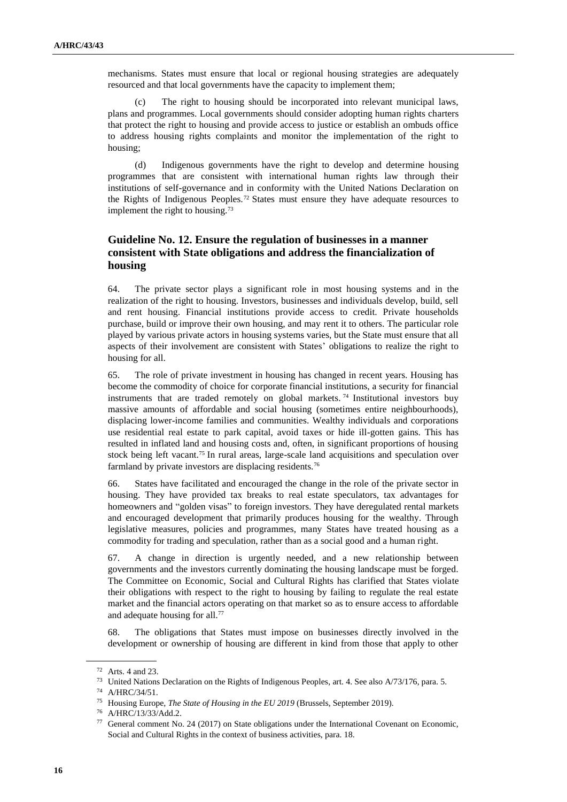mechanisms. States must ensure that local or regional housing strategies are adequately resourced and that local governments have the capacity to implement them;

(c) The right to housing should be incorporated into relevant municipal laws, plans and programmes. Local governments should consider adopting human rights charters that protect the right to housing and provide access to justice or establish an ombuds office to address housing rights complaints and monitor the implementation of the right to housing;

(d) Indigenous governments have the right to develop and determine housing programmes that are consistent with international human rights law through their institutions of self-governance and in conformity with the United Nations Declaration on the Rights of Indigenous Peoples.<sup>72</sup> States must ensure they have adequate resources to implement the right to housing.<sup>73</sup>

## **Guideline No. 12. Ensure the regulation of businesses in a manner consistent with State obligations and address the financialization of housing**

64. The private sector plays a significant role in most housing systems and in the realization of the right to housing. Investors, businesses and individuals develop, build, sell and rent housing. Financial institutions provide access to credit. Private households purchase, build or improve their own housing, and may rent it to others. The particular role played by various private actors in housing systems varies, but the State must ensure that all aspects of their involvement are consistent with States' obligations to realize the right to housing for all.

65. The role of private investment in housing has changed in recent years. Housing has become the commodity of choice for corporate financial institutions, a security for financial instruments that are traded remotely on global markets. <sup>74</sup> Institutional investors buy massive amounts of affordable and social housing (sometimes entire neighbourhoods), displacing lower-income families and communities. Wealthy individuals and corporations use residential real estate to park capital, avoid taxes or hide ill-gotten gains. This has resulted in inflated land and housing costs and, often, in significant proportions of housing stock being left vacant.<sup>75</sup> In rural areas, large-scale land acquisitions and speculation over farmland by private investors are displacing residents.<sup>76</sup>

66. States have facilitated and encouraged the change in the role of the private sector in housing. They have provided tax breaks to real estate speculators, tax advantages for homeowners and "golden visas" to foreign investors. They have deregulated rental markets and encouraged development that primarily produces housing for the wealthy. Through legislative measures, policies and programmes, many States have treated housing as a commodity for trading and speculation, rather than as a social good and a human right.

67. A change in direction is urgently needed, and a new relationship between governments and the investors currently dominating the housing landscape must be forged. The Committee on Economic, Social and Cultural Rights has clarified that States violate their obligations with respect to the right to housing by failing to regulate the real estate market and the financial actors operating on that market so as to ensure access to affordable and adequate housing for all.<sup>77</sup>

68. The obligations that States must impose on businesses directly involved in the development or ownership of housing are different in kind from those that apply to other

<sup>72</sup> Arts. 4 and 23.

<sup>73</sup> United Nations Declaration on the Rights of Indigenous Peoples, art. 4. See also A/73/176, para. 5.

<sup>74</sup> A/HRC/34/51.

<sup>75</sup> Housing Europe, *The State of Housing in the EU 2019* (Brussels, September 2019).

<sup>76</sup> A/HRC/13/33/Add.2.

<sup>77</sup> General comment No. 24 (2017) on State obligations under the International Covenant on Economic, Social and Cultural Rights in the context of business activities, para. 18.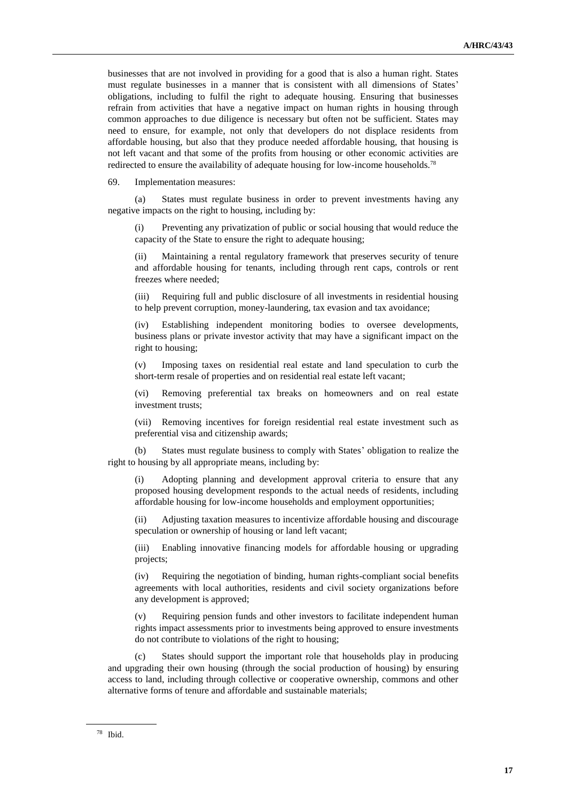businesses that are not involved in providing for a good that is also a human right. States must regulate businesses in a manner that is consistent with all dimensions of States' obligations, including to fulfil the right to adequate housing. Ensuring that businesses refrain from activities that have a negative impact on human rights in housing through common approaches to due diligence is necessary but often not be sufficient. States may need to ensure, for example, not only that developers do not displace residents from affordable housing, but also that they produce needed affordable housing, that housing is not left vacant and that some of the profits from housing or other economic activities are redirected to ensure the availability of adequate housing for low-income households.<sup>78</sup>

69. Implementation measures:

(a) States must regulate business in order to prevent investments having any negative impacts on the right to housing, including by:

(i) Preventing any privatization of public or social housing that would reduce the capacity of the State to ensure the right to adequate housing;

(ii) Maintaining a rental regulatory framework that preserves security of tenure and affordable housing for tenants, including through rent caps, controls or rent freezes where needed;

(iii) Requiring full and public disclosure of all investments in residential housing to help prevent corruption, money-laundering, tax evasion and tax avoidance;

(iv) Establishing independent monitoring bodies to oversee developments, business plans or private investor activity that may have a significant impact on the right to housing;

(v) Imposing taxes on residential real estate and land speculation to curb the short-term resale of properties and on residential real estate left vacant;

(vi) Removing preferential tax breaks on homeowners and on real estate investment trusts;

(vii) Removing incentives for foreign residential real estate investment such as preferential visa and citizenship awards;

(b) States must regulate business to comply with States' obligation to realize the right to housing by all appropriate means, including by:

(i) Adopting planning and development approval criteria to ensure that any proposed housing development responds to the actual needs of residents, including affordable housing for low-income households and employment opportunities;

(ii) Adjusting taxation measures to incentivize affordable housing and discourage speculation or ownership of housing or land left vacant;

(iii) Enabling innovative financing models for affordable housing or upgrading projects;

Requiring the negotiation of binding, human rights-compliant social benefits agreements with local authorities, residents and civil society organizations before any development is approved;

(v) Requiring pension funds and other investors to facilitate independent human rights impact assessments prior to investments being approved to ensure investments do not contribute to violations of the right to housing;

States should support the important role that households play in producing and upgrading their own housing (through the social production of housing) by ensuring access to land, including through collective or cooperative ownership, commons and other alternative forms of tenure and affordable and sustainable materials;

<sup>78</sup> Ibid.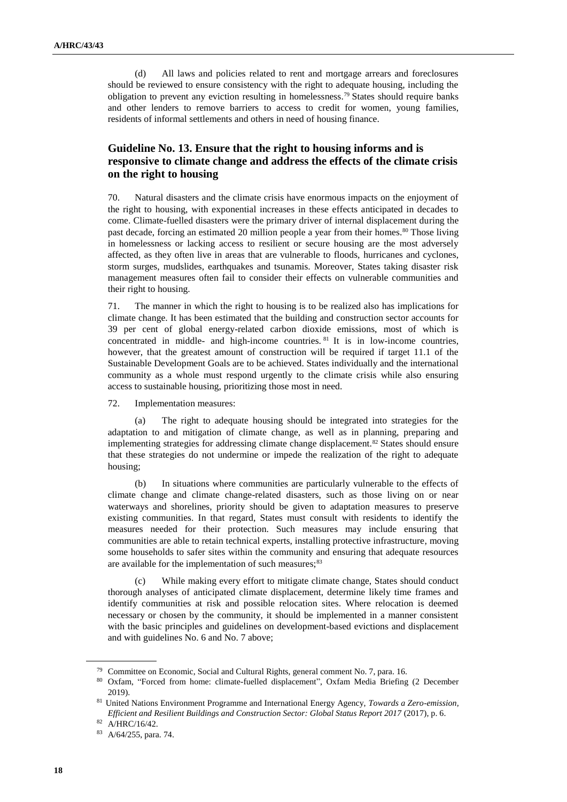(d) All laws and policies related to rent and mortgage arrears and foreclosures should be reviewed to ensure consistency with the right to adequate housing, including the obligation to prevent any eviction resulting in homelessness.<sup>79</sup> States should require banks and other lenders to remove barriers to access to credit for women, young families, residents of informal settlements and others in need of housing finance.

# **Guideline No. 13. Ensure that the right to housing informs and is responsive to climate change and address the effects of the climate crisis on the right to housing**

70. Natural disasters and the climate crisis have enormous impacts on the enjoyment of the right to housing, with exponential increases in these effects anticipated in decades to come. Climate-fuelled disasters were the primary driver of internal displacement during the past decade, forcing an estimated 20 million people a year from their homes.<sup>80</sup> Those living in homelessness or lacking access to resilient or secure housing are the most adversely affected, as they often live in areas that are vulnerable to floods, hurricanes and cyclones, storm surges, mudslides, earthquakes and tsunamis. Moreover, States taking disaster risk management measures often fail to consider their effects on vulnerable communities and their right to housing.

71. The manner in which the right to housing is to be realized also has implications for climate change. It has been estimated that the building and construction sector accounts for 39 per cent of global energy-related carbon dioxide emissions, most of which is concentrated in middle- and high-income countries. <sup>81</sup> It is in low-income countries, however, that the greatest amount of construction will be required if target 11.1 of the Sustainable Development Goals are to be achieved. States individually and the international community as a whole must respond urgently to the climate crisis while also ensuring access to sustainable housing, prioritizing those most in need.

72. Implementation measures:

(a) The right to adequate housing should be integrated into strategies for the adaptation to and mitigation of climate change, as well as in planning, preparing and implementing strategies for addressing climate change displacement.<sup>82</sup> States should ensure that these strategies do not undermine or impede the realization of the right to adequate housing;

(b) In situations where communities are particularly vulnerable to the effects of climate change and climate change-related disasters, such as those living on or near waterways and shorelines, priority should be given to adaptation measures to preserve existing communities. In that regard, States must consult with residents to identify the measures needed for their protection. Such measures may include ensuring that communities are able to retain technical experts, installing protective infrastructure, moving some households to safer sites within the community and ensuring that adequate resources are available for the implementation of such measures;<sup>83</sup>

(c) While making every effort to mitigate climate change, States should conduct thorough analyses of anticipated climate displacement, determine likely time frames and identify communities at risk and possible relocation sites. Where relocation is deemed necessary or chosen by the community, it should be implemented in a manner consistent with the basic principles and guidelines on development-based evictions and displacement and with guidelines No. 6 and No. 7 above;

<sup>79</sup> Committee on Economic, Social and Cultural Rights, general comment No. 7, para. 16.

<sup>80</sup> Oxfam, "Forced from home: climate-fuelled displacement", Oxfam Media Briefing (2 December 2019).

<sup>81</sup> United Nations Environment Programme and International Energy Agency, *Towards a Zero-emission, Efficient and Resilient Buildings and Construction Sector: Global Status Report 2017* (2017), p. 6.

<sup>82</sup> A/HRC/16/42.

<sup>83</sup> A/64/255, para. 74.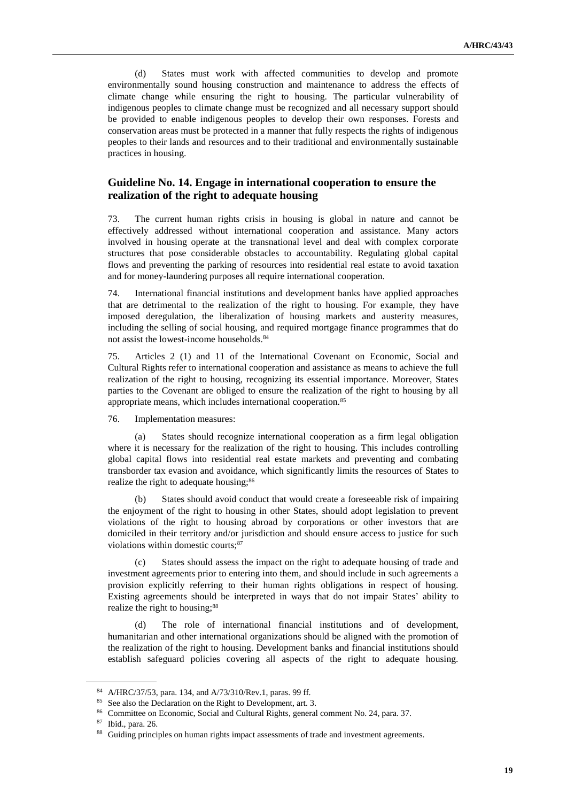(d) States must work with affected communities to develop and promote environmentally sound housing construction and maintenance to address the effects of climate change while ensuring the right to housing. The particular vulnerability of indigenous peoples to climate change must be recognized and all necessary support should be provided to enable indigenous peoples to develop their own responses. Forests and conservation areas must be protected in a manner that fully respects the rights of indigenous peoples to their lands and resources and to their traditional and environmentally sustainable practices in housing.

# **Guideline No. 14. Engage in international cooperation to ensure the realization of the right to adequate housing**

73. The current human rights crisis in housing is global in nature and cannot be effectively addressed without international cooperation and assistance. Many actors involved in housing operate at the transnational level and deal with complex corporate structures that pose considerable obstacles to accountability. Regulating global capital flows and preventing the parking of resources into residential real estate to avoid taxation and for money-laundering purposes all require international cooperation.

74. International financial institutions and development banks have applied approaches that are detrimental to the realization of the right to housing. For example, they have imposed deregulation, the liberalization of housing markets and austerity measures, including the selling of social housing, and required mortgage finance programmes that do not assist the lowest-income households.<sup>84</sup>

75. Articles 2 (1) and 11 of the International Covenant on Economic, Social and Cultural Rights refer to international cooperation and assistance as means to achieve the full realization of the right to housing, recognizing its essential importance. Moreover, States parties to the Covenant are obliged to ensure the realization of the right to housing by all appropriate means, which includes international cooperation.<sup>85</sup>

76. Implementation measures:

(a) States should recognize international cooperation as a firm legal obligation where it is necessary for the realization of the right to housing. This includes controlling global capital flows into residential real estate markets and preventing and combating transborder tax evasion and avoidance, which significantly limits the resources of States to realize the right to adequate housing;<sup>86</sup>

(b) States should avoid conduct that would create a foreseeable risk of impairing the enjoyment of the right to housing in other States, should adopt legislation to prevent violations of the right to housing abroad by corporations or other investors that are domiciled in their territory and/or jurisdiction and should ensure access to justice for such violations within domestic courts;<sup>87</sup>

(c) States should assess the impact on the right to adequate housing of trade and investment agreements prior to entering into them, and should include in such agreements a provision explicitly referring to their human rights obligations in respect of housing. Existing agreements should be interpreted in ways that do not impair States' ability to realize the right to housing;<sup>88</sup>

(d) The role of international financial institutions and of development, humanitarian and other international organizations should be aligned with the promotion of the realization of the right to housing. Development banks and financial institutions should establish safeguard policies covering all aspects of the right to adequate housing.

<sup>84</sup> A/HRC/37/53, para. 134, and A/73/310/Rev.1, paras. 99 ff.

<sup>&</sup>lt;sup>85</sup> See also the Declaration on the Right to Development, art. 3.

<sup>86</sup> Committee on Economic, Social and Cultural Rights, general comment No. 24, para. 37.

<sup>87</sup> Ibid., para. 26.

<sup>&</sup>lt;sup>88</sup> Guiding principles on human rights impact assessments of trade and investment agreements.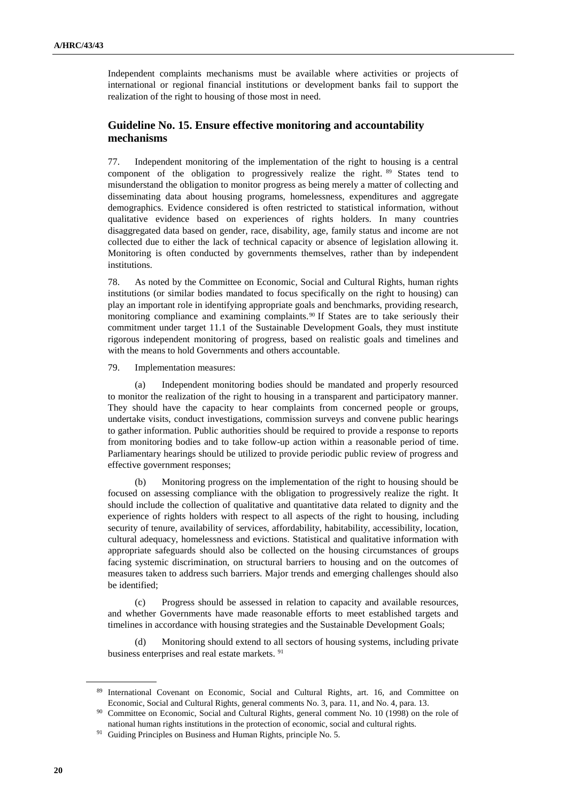Independent complaints mechanisms must be available where activities or projects of international or regional financial institutions or development banks fail to support the realization of the right to housing of those most in need.

# **Guideline No. 15. Ensure effective monitoring and accountability mechanisms**

77. Independent monitoring of the implementation of the right to housing is a central component of the obligation to progressively realize the right. <sup>89</sup> States tend to misunderstand the obligation to monitor progress as being merely a matter of collecting and disseminating data about housing programs, homelessness, expenditures and aggregate demographics. Evidence considered is often restricted to statistical information, without qualitative evidence based on experiences of rights holders. In many countries disaggregated data based on gender, race, disability, age, family status and income are not collected due to either the lack of technical capacity or absence of legislation allowing it. Monitoring is often conducted by governments themselves, rather than by independent institutions.

78. As noted by the Committee on Economic, Social and Cultural Rights, human rights institutions (or similar bodies mandated to focus specifically on the right to housing) can play an important role in identifying appropriate goals and benchmarks, providing research, monitoring compliance and examining complaints.<sup>90</sup> If States are to take seriously their commitment under target 11.1 of the Sustainable Development Goals, they must institute rigorous independent monitoring of progress, based on realistic goals and timelines and with the means to hold Governments and others accountable.

79. Implementation measures:

(a) Independent monitoring bodies should be mandated and properly resourced to monitor the realization of the right to housing in a transparent and participatory manner. They should have the capacity to hear complaints from concerned people or groups, undertake visits, conduct investigations, commission surveys and convene public hearings to gather information. Public authorities should be required to provide a response to reports from monitoring bodies and to take follow-up action within a reasonable period of time. Parliamentary hearings should be utilized to provide periodic public review of progress and effective government responses;

(b) Monitoring progress on the implementation of the right to housing should be focused on assessing compliance with the obligation to progressively realize the right. It should include the collection of qualitative and quantitative data related to dignity and the experience of rights holders with respect to all aspects of the right to housing, including security of tenure, availability of services, affordability, habitability, accessibility, location, cultural adequacy, homelessness and evictions. Statistical and qualitative information with appropriate safeguards should also be collected on the housing circumstances of groups facing systemic discrimination, on structural barriers to housing and on the outcomes of measures taken to address such barriers. Major trends and emerging challenges should also be identified;

(c) Progress should be assessed in relation to capacity and available resources, and whether Governments have made reasonable efforts to meet established targets and timelines in accordance with housing strategies and the Sustainable Development Goals;

(d) Monitoring should extend to all sectors of housing systems, including private business enterprises and real estate markets. <sup>91</sup>

<sup>89</sup> International Covenant on Economic, Social and Cultural Rights, art. 16, and Committee on Economic, Social and Cultural Rights, general comments No. 3, para. 11, and No. 4, para. 13.

<sup>&</sup>lt;sup>90</sup> Committee on Economic, Social and Cultural Rights, general comment No. 10 (1998) on the role of national human rights institutions in the protection of economic, social and cultural rights.

<sup>&</sup>lt;sup>91</sup> Guiding Principles on Business and Human Rights, principle No. 5.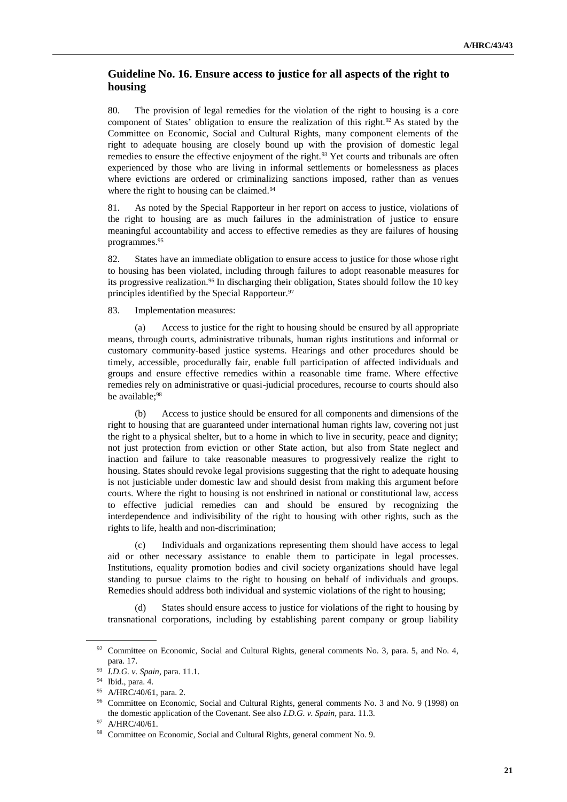# **Guideline No. 16. Ensure access to justice for all aspects of the right to housing**

80. The provision of legal remedies for the violation of the right to housing is a core component of States' obligation to ensure the realization of this right.<sup>92</sup> As stated by the Committee on Economic, Social and Cultural Rights, many component elements of the right to adequate housing are closely bound up with the provision of domestic legal remedies to ensure the effective enjoyment of the right.<sup>93</sup> Yet courts and tribunals are often experienced by those who are living in informal settlements or homelessness as places where evictions are ordered or criminalizing sanctions imposed, rather than as venues where the right to housing can be claimed.<sup>94</sup>

81. As noted by the Special Rapporteur in her report on access to justice, violations of the right to housing are as much failures in the administration of justice to ensure meaningful accountability and access to effective remedies as they are failures of housing programmes.<sup>95</sup>

82. States have an immediate obligation to ensure access to justice for those whose right to housing has been violated, including through failures to adopt reasonable measures for its progressive realization.<sup>96</sup> In discharging their obligation, States should follow the 10 key principles identified by the Special Rapporteur.<sup>97</sup>

83. Implementation measures:

(a) Access to justice for the right to housing should be ensured by all appropriate means, through courts, administrative tribunals, human rights institutions and informal or customary community-based justice systems. Hearings and other procedures should be timely, accessible, procedurally fair, enable full participation of affected individuals and groups and ensure effective remedies within a reasonable time frame. Where effective remedies rely on administrative or quasi-judicial procedures, recourse to courts should also be available;<sup>98</sup>

(b) Access to justice should be ensured for all components and dimensions of the right to housing that are guaranteed under international human rights law, covering not just the right to a physical shelter, but to a home in which to live in security, peace and dignity; not just protection from eviction or other State action, but also from State neglect and inaction and failure to take reasonable measures to progressively realize the right to housing. States should revoke legal provisions suggesting that the right to adequate housing is not justiciable under domestic law and should desist from making this argument before courts. Where the right to housing is not enshrined in national or constitutional law, access to effective judicial remedies can and should be ensured by recognizing the interdependence and indivisibility of the right to housing with other rights, such as the rights to life, health and non-discrimination;

(c) Individuals and organizations representing them should have access to legal aid or other necessary assistance to enable them to participate in legal processes. Institutions, equality promotion bodies and civil society organizations should have legal standing to pursue claims to the right to housing on behalf of individuals and groups. Remedies should address both individual and systemic violations of the right to housing;

(d) States should ensure access to justice for violations of the right to housing by transnational corporations, including by establishing parent company or group liability

<sup>&</sup>lt;sup>92</sup> Committee on Economic, Social and Cultural Rights, general comments No. 3, para. 5, and No. 4, para. 17.

<sup>93</sup> *I.D.G. v. Spain*, para. 11.1.

<sup>94</sup> Ibid., para. 4.

<sup>95</sup> A/HRC/40/61, para. 2.

<sup>96</sup> Committee on Economic, Social and Cultural Rights, general comments No. 3 and No. 9 (1998) on the domestic application of the Covenant. See also *I.D.G. v. Spain*, para. 11.3.

<sup>97</sup> A/HRC/40/61.

<sup>98</sup> Committee on Economic, Social and Cultural Rights, general comment No. 9.